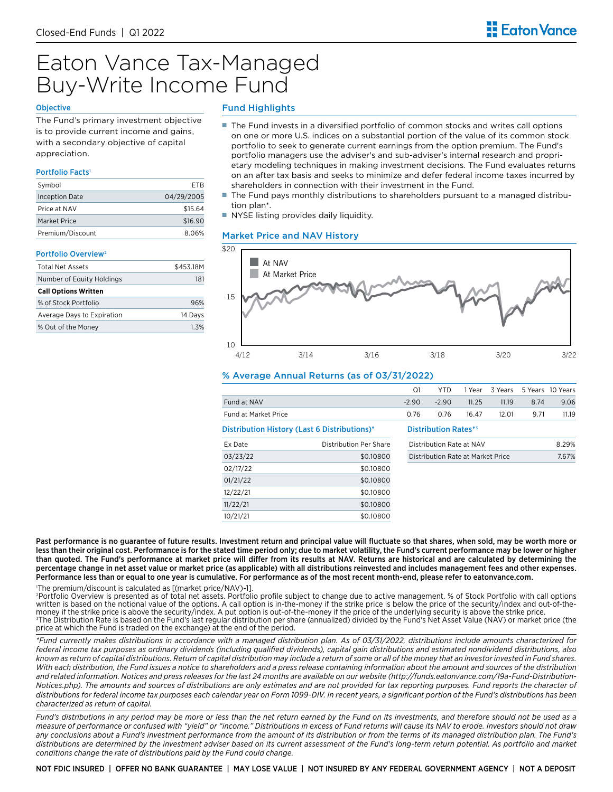# Eaton Vance Tax-Managed Buy-Write Income Fund

#### **Objective**

The Fund's primary investment objective is to provide current income and gains, with a secondary objective of capital appreciation.

#### Portfolio Facts<sup>®</sup>

| Symbol                | FTR        |
|-----------------------|------------|
| <b>Inception Date</b> | 04/29/2005 |
| Price at NAV          | \$15.64    |
| Market Price          | \$16.90    |
| Premium/Discount      | 8.06%      |

#### Portfolio Overview<sup>3</sup>

| Total Net Assets            | \$453.18M |
|-----------------------------|-----------|
| Number of Equity Holdings   | 181       |
| <b>Call Options Written</b> |           |
| % of Stock Portfolio        | 96%       |
| Average Days to Expiration  | 14 Davs   |
| % Out of the Money          | 1.3%      |

# Fund Highlights

- The Fund invests in a diversified portfolio of common stocks and writes call options on one or more U.S. indices on a substantial portion of the value of its common stock portfolio to seek to generate current earnings from the option premium. The Fund's portfolio managers use the adviser's and sub-adviser's internal research and proprietary modeling techniques in making investment decisions. The Fund evaluates returns on an after tax basis and seeks to minimize and defer federal income taxes incurred by shareholders in connection with their investment in the Fund.
- The Fund pays monthly distributions to shareholders pursuant to a managed distribution plan\*.
- NYSE listing provides daily liquidity.

#### Market Price and NAV History



## % Average Annual Returns (as of 03/31/2022)

|                      |                                              | Q1      | <b>YTD</b>                        | 1 Year | 3 Years |      | 5 Years 10 Years |
|----------------------|----------------------------------------------|---------|-----------------------------------|--------|---------|------|------------------|
| Fund at NAV          |                                              | $-2.90$ | $-2.90$                           | 11.25  | 11.19   | 8.74 | 9.06             |
| Fund at Market Price |                                              | 0.76    | 0.76                              | 16.47  | 12.01   | 9.71 | 11.19            |
|                      | Distribution History (Last 6 Distributions)* |         | <b>Distribution Rates*</b>        |        |         |      |                  |
| Ex Date              | Distribution Per Share                       |         | Distribution Rate at NAV          |        |         |      | 8.29%            |
| 03/23/22             | \$0.10800                                    |         | Distribution Rate at Market Price |        |         |      | 7.67%            |
| 02/17/22             | \$0.10800                                    |         |                                   |        |         |      |                  |
| 01/21/22             | \$0.10800                                    |         |                                   |        |         |      |                  |
| 12/22/21             | \$0.10800                                    |         |                                   |        |         |      |                  |
| 11/22/21             | \$0.10800                                    |         |                                   |        |         |      |                  |
| 10/21/21             | \$0.10800                                    |         |                                   |        |         |      |                  |
|                      |                                              |         |                                   |        |         |      |                  |

Past performance is no guarantee of future results. Investment return and principal value will fluctuate so that shares, when sold, may be worth more or less than their original cost. Performance is for the stated time period only; due to market volatility, the Fund's current performance may be lower or higher than quoted. The Fund's performance at market price will differ from its results at NAV. Returns are historical and are calculated by determining the percentage change in net asset value or market price (as applicable) with all distributions reinvested and includes management fees and other expenses. Performance less than or equal to one year is cumulative. For performance as of the most recent month-end, please refer to eatonvance.com.

 1 The premium/discount is calculated as [(market price/NAV)-1].

 2 Portfolio Overview is presented as of total net assets. Portfolio profile subject to change due to active management. % of Stock Portfolio with call options written is based on the notional value of the options. A call option is in-the-money if the strike price is below the price of the security/index and out-of-themoney if the strike price is above the security/index. A put option is out-of-the-money if the price of the underlying security is above the strike price.  3 The Distribution Rate is based on the Fund's last regular distribution per share (annualized) divided by the Fund's Net Asset Value (NAV) or market price (the price at which the Fund is traded on the exchange) at the end of the period.

*\*Fund currently makes distributions in accordance with a managed distribution plan. As of 03/31/2022, distributions include amounts characterized for federal income tax purposes as ordinary dividends (including qualified dividends), capital gain distributions and estimated nondividend distributions, also known as return of capital distributions. Return of capital distribution may include a return of some or all of the money that an investor invested in Fund shares. With each distribution, the Fund issues a notice to shareholders and a press release containing information about the amount and sources of the distribution and related information. Notices and press releases for the last 24 months are available on our website (http://funds.eatonvance.com/19a-Fund-Distribution-Notices.php). The amounts and sources of distributions are only estimates and are not provided for tax reporting purposes. Fund reports the character of distributions for federal income tax purposes each calendar year on Form 1099-DIV. In recent years, a significant portion of the Fund's distributions has been characterized as return of capital.* 

*Fund's distributions in any period may be more or less than the net return earned by the Fund on its investments, and therefore should not be used as a measure of performance or confused with "yield" or "income." Distributions in excess of Fund returns will cause its NAV to erode. Investors should not draw*  any conclusions about a Fund's investment performance from the amount of its distribution or from the terms of its managed distribution plan. The Fund's *distributions are determined by the investment adviser based on its current assessment of the Fund's long-term return potential. As portfolio and market conditions change the rate of distributions paid by the Fund could change.*

NOT FDIC INSURED | OFFER NO BANK GUARANTEE | MAY LOSE VALUE | NOT INSURED BY ANY FEDERAL GOVERNMENT AGENCY | NOT A DEPOSIT